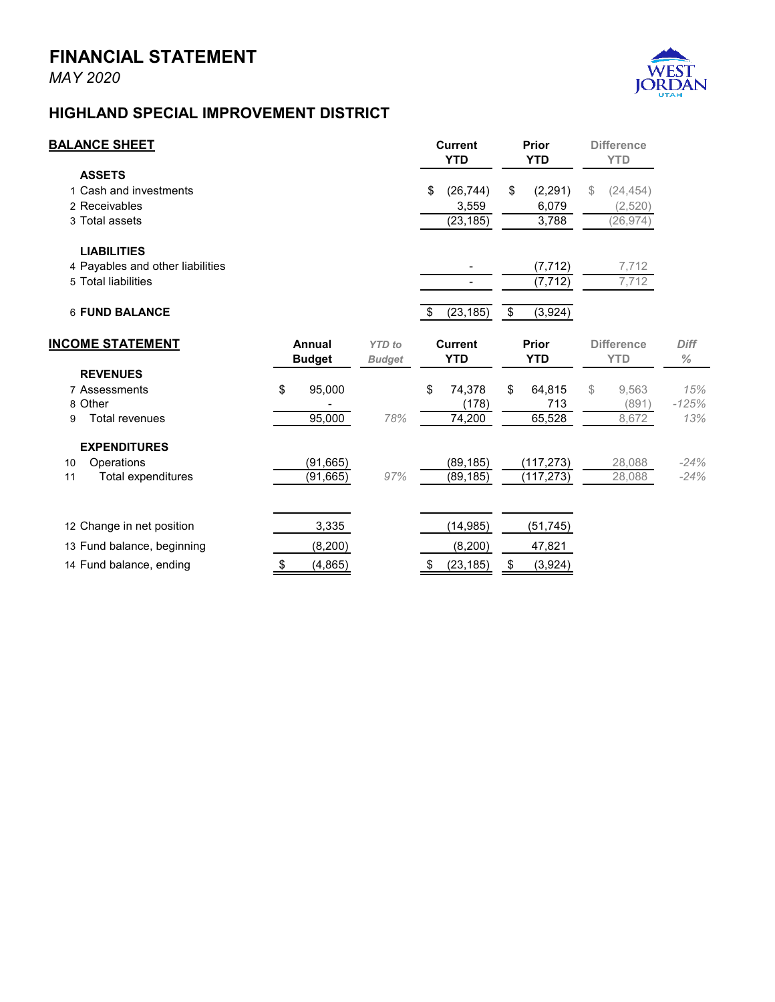## **FINANCIAL STATEMENT**

*MAY 2020*



## **HIGHLAND SPECIAL IMPROVEMENT DISTRICT**

| <b>BALANCE SHEET</b>                                                          |                         |                                | <b>Current</b><br><b>YTD</b>          | Prior<br><b>YTD</b>              | <b>Difference</b><br><b>YTD</b>         |                       |
|-------------------------------------------------------------------------------|-------------------------|--------------------------------|---------------------------------------|----------------------------------|-----------------------------------------|-----------------------|
| <b>ASSETS</b><br>1 Cash and investments<br>2 Receivables<br>3 Total assets    |                         |                                | (26, 744)<br>\$<br>3,559<br>(23, 185) | \$<br>(2, 291)<br>6,079<br>3,788 | \$<br>(24, 454)<br>(2,520)<br>(26, 974) |                       |
| <b>LIABILITIES</b><br>4 Payables and other liabilities<br>5 Total liabilities |                         |                                |                                       | (7, 712)<br>(7, 712)             | 7,712<br>7,712                          |                       |
| 6 FUND BALANCE                                                                |                         |                                | (23, 185)<br>\$                       | \$<br>(3,924)                    |                                         |                       |
| <b>INCOME STATEMENT</b>                                                       | Annual<br><b>Budget</b> | <b>YTD</b> to<br><b>Budget</b> | <b>Current</b><br><b>YTD</b>          | <b>Prior</b><br><b>YTD</b>       | <b>Difference</b><br><b>YTD</b>         | <b>Diff</b><br>$\%$   |
| <b>REVENUES</b><br>7 Assessments<br>8 Other<br><b>Total revenues</b><br>9     | \$<br>95,000<br>95,000  | 78%                            | \$<br>74,378<br>(178)<br>74,200       | \$<br>64,815<br>713<br>65,528    | \$<br>9,563<br>(891)<br>8,672           | 15%<br>$-125%$<br>13% |
| <b>EXPENDITURES</b><br>Operations<br>10<br>Total expenditures<br>11           | (91, 665)<br>(91, 665)  | 97%                            | (89, 185)<br>(89, 185)                | (117, 273)<br>(117, 273)         | 28,088<br>28,088                        | $-24%$<br>$-24%$      |
| 12 Change in net position<br>13 Fund balance, beginning                       | 3,335<br>(8, 200)       |                                | (14, 985)<br>(8,200)                  | (51, 745)<br>47,821              |                                         |                       |
| 14 Fund balance, ending                                                       | (4, 865)<br>\$          |                                | (23, 185)<br>-95                      | (3,924)<br>\$                    |                                         |                       |